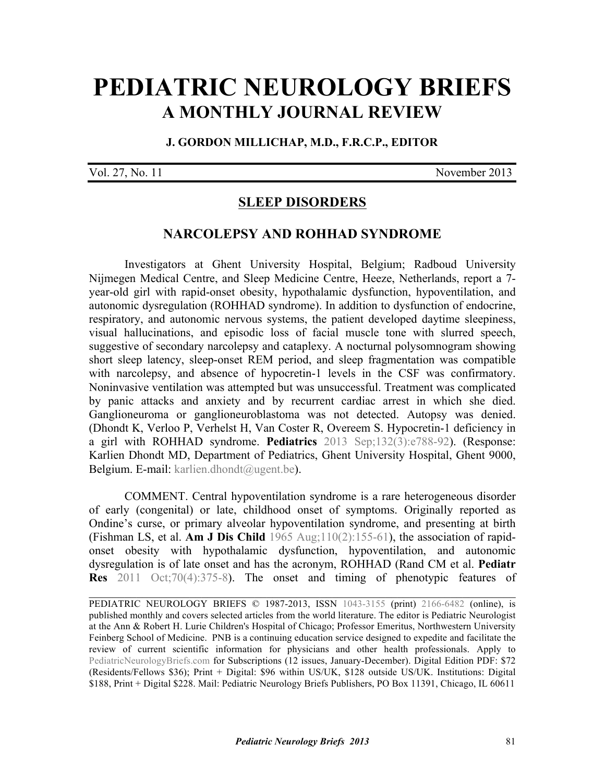# **[PEDIATRIC NEUROLOGY BRIEFS](http://www.pediatricneurologybriefs.com/) A MONTHLY JOURNAL REVIEW**

#### **J. GORDON MILLICHAP, M.D., F.R.C.P., EDITOR**

Vol. 27, No. 11 November 2013

## **SLEEP DISORDERS**

#### **NARCOLEPSY AND ROHHAD SYNDROME**

Investigators at Ghent University Hospital, Belgium; Radboud University Nijmegen Medical Centre, and Sleep Medicine Centre, Heeze, Netherlands, report a 7 year-old girl with rapid-onset obesity, hypothalamic dysfunction, hypoventilation, and autonomic dysregulation (ROHHAD syndrome). In addition to dysfunction of endocrine, respiratory, and autonomic nervous systems, the patient developed daytime sleepiness, visual hallucinations, and episodic loss of facial muscle tone with slurred speech, suggestive of secondary narcolepsy and cataplexy. A nocturnal polysomnogram showing short sleep latency, sleep-onset REM period, and sleep fragmentation was compatible with narcolepsy, and absence of hypocretin-1 levels in the CSF was confirmatory. Noninvasive ventilation was attempted but was unsuccessful. Treatment was complicated by panic attacks and anxiety and by recurrent cardiac arrest in which she died. Ganglioneuroma or ganglioneuroblastoma was not detected. Autopsy was denied. [\(Dhondt K, Verloo P, Verhelst H, Van Coster R, Overeem S. Hypocretin-1 deficiency in](http://dx.doi.org/10.1542/peds.2012-3225) a girl with ROHHAD syndrome. **Pediatrics** 2013 Sep;132(3):e788-92). (Response: Karlien Dhondt MD, Department of Pediatrics, Ghent University Hospital, Ghent 9000, Belgium. E-mail: karlien.dhondt@ugent.be).

 COMMENT. Central hypoventilation syndrome is a rare heterogeneous disorder of early (congenital) or late, childhood onset of symptoms. Originally reported as Ondine's curse, or primary alveolar hypoventilation syndrome, and presenting at birth (Fishman LS, et al. **Am J Dis Child** [1965 Aug;110\(2\):155-61\)](http://dx.doi.org/10.1001/archpedi.1965.02090030165011), the association of rapidonset obesity with hypothalamic dysfunction, hypoventilation, and autonomic dysregulation is of late onset and has the acronym, ROHHAD (Rand CM et al. **Pediatr Res** [2011 Oct;70\(4\):375-8\). The onset and timing of phenotypic features of](http://dx.doi.org/10.1038/pr.2011.600)

PEDIATRIC NEUROLOGY BRIEFS © 1987-2013, ISSN [1043-3155](http://www.worldcat.org/oclc/19417722) (print) [2166-6482](http://www.worldcat.org/oclc/781441925) (online), is published monthly and covers selected articles from the world literature. The editor is Pediatric Neurologist at the Ann & Robert H. Lurie Children's Hospital of Chicago; Professor Emeritus, Northwestern University Feinberg School of Medicine. PNB is a continuing education service designed to expedite and facilitate the review of current scientific information for physicians and other health professionals. Apply to [PediatricNeurologyBriefs.com](http://www.pediatricneurologybriefs.com/subscribe.html) for Subscriptions (12 issues, January-December). Digital Edition PDF: \$72 (Residents/Fellows \$36); Print + Digital: \$96 within US/UK, \$128 outside US/UK. Institutions: Digital \$188, Print + Digital \$228. Mail: Pediatric Neurology Briefs Publishers, PO Box 11391, Chicago, IL 60611

 $\_$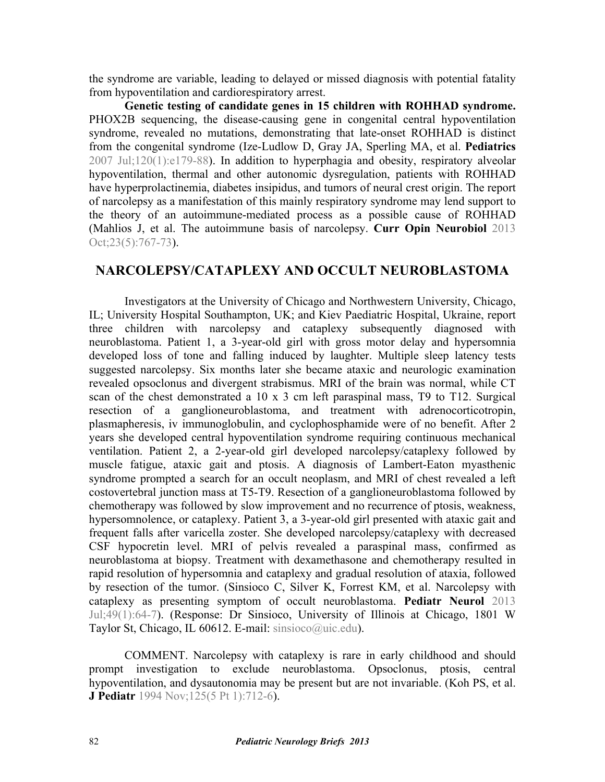the syndrome are variable, leading to delayed or missed diagnosis with potential fatality from hypoventilation and cardiorespiratory arrest.

**Genetic testing of candidate genes in 15 children with ROHHAD syndrome.** PHOX2B sequencing, the disease-causing gene in congenital central hypoventilation syndrome, revealed no mutations, demonstrating that late-onset ROHHAD is distinct from the congenital syndrome (Ize-Ludlow D, Gray JA, Sperling MA, et al. **Pediatrics**  [2007 Jul;120\(1\):e179-88\). In addition to hyperphagia and obesity, respiratory alveolar](http://dx.doi.org/10.1542/peds.2006-3324) hypoventilation, thermal and other autonomic dysregulation, patients with ROHHAD have hyperprolactinemia, diabetes insipidus, and tumors of neural crest origin. The report of narcolepsy as a manifestation of this mainly respiratory syndrome may lend support to the theory of an autoimmune-mediated process as a possible cause of ROHHAD [\(Mahlios J, et al. The autoimmune basis of narcolepsy.](http://dx.doi.org/10.1016/j.conb.2013.04.013) **Curr Opin Neurobiol** 2013 Oct: 23(5): 767-73).

## **NARCOLEPSY/CATAPLEXY AND OCCULT NEUROBLASTOMA**

Investigators at the University of Chicago and Northwestern University, Chicago, IL; University Hospital Southampton, UK; and Kiev Paediatric Hospital, Ukraine, report three children with narcolepsy and cataplexy subsequently diagnosed with neuroblastoma. Patient 1, a 3-year-old girl with gross motor delay and hypersomnia developed loss of tone and falling induced by laughter. Multiple sleep latency tests suggested narcolepsy. Six months later she became ataxic and neurologic examination revealed opsoclonus and divergent strabismus. MRI of the brain was normal, while CT scan of the chest demonstrated a 10 x 3 cm left paraspinal mass, T9 to T12. Surgical resection of a ganglioneuroblastoma, and treatment with adrenocorticotropin, plasmapheresis, iv immunoglobulin, and cyclophosphamide were of no benefit. After 2 years she developed central hypoventilation syndrome requiring continuous mechanical ventilation. Patient 2, a 2-year-old girl developed narcolepsy/cataplexy followed by muscle fatigue, ataxic gait and ptosis. A diagnosis of Lambert-Eaton myasthenic syndrome prompted a search for an occult neoplasm, and MRI of chest revealed a left costovertebral junction mass at T5-T9. Resection of a ganglioneuroblastoma followed by chemotherapy was followed by slow improvement and no recurrence of ptosis, weakness, hypersomnolence, or cataplexy. Patient 3, a 3-year-old girl presented with ataxic gait and frequent falls after varicella zoster. She developed narcolepsy/cataplexy with decreased CSF hypocretin level. MRI of pelvis revealed a paraspinal mass, confirmed as neuroblastoma at biopsy. Treatment with dexamethasone and chemotherapy resulted in rapid resolution of hypersomnia and cataplexy and gradual resolution of ataxia, followed [by resection of the tumor. \(Sinsioco C, Silver K, Forrest KM, et al. Narcolepsy with](http://dx.doi.org/10.1016/j.pediatrneurol.2012.12.038) cataplexy as presenting symptom of occult neuroblastoma. **Pediatr Neurol** 2013 Jul;49(1):64-7). (Response: Dr Sinsioco, University of Illinois at Chicago, 1801 W Taylor St, Chicago, IL 60612. E-mail: sinsioco@uic.edu).

 COMMENT. Narcolepsy with cataplexy is rare in early childhood and should prompt investigation to exclude neuroblastoma. Opsoclonus, ptosis, central [hypoventilation, and dysautonomia may be present but are not invariable. \(Koh PS, et al.](http://dx.doi.org/10.1016/S0022-3476(06)80167-8) **J Pediatr** 1994 Nov;125(5 Pt 1):712-6).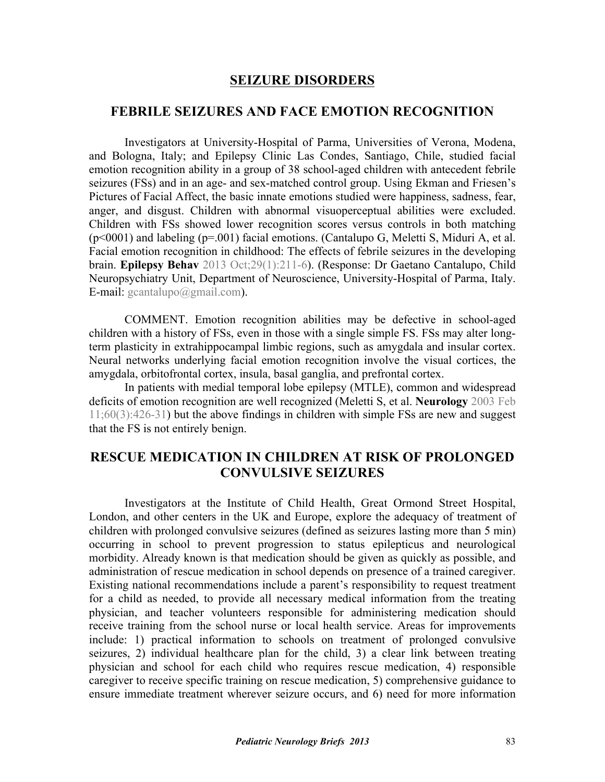### **SEIZURE DISORDERS**

#### **FEBRILE SEIZURES AND FACE EMOTION RECOGNITION**

Investigators at University-Hospital of Parma, Universities of Verona, Modena, and Bologna, Italy; and Epilepsy Clinic Las Condes, Santiago, Chile, studied facial emotion recognition ability in a group of 38 school-aged children with antecedent febrile seizures (FSs) and in an age- and sex-matched control group. Using Ekman and Friesen's Pictures of Facial Affect, the basic innate emotions studied were happiness, sadness, fear, anger, and disgust. Children with abnormal visuoperceptual abilities were excluded. Children with FSs showed lower recognition scores versus controls in both matching  $(p<0001)$  and labeling  $(p=001)$  facial emotions. (Cantalupo G, Meletti S, Miduri A, et al. Facial emotion recognition in childhood: The effects of febrile seizures in the developing brain. **Epilepsy Behav** 2013 Oct;29(1):211-6). (Response: Dr Gaetano Cantalupo, Child Neuropsychiatry Unit, Department of Neuroscience, University-Hospital of Parma, Italy. E-mail: gcantalupo@gmail.com).

 COMMENT. Emotion recognition abilities may be defective in school-aged children with a history of FSs, even in those with a single simple FS. FSs may alter longterm plasticity in extrahippocampal limbic regions, such as amygdala and insular cortex. Neural networks underlying facial emotion recognition involve the visual cortices, the amygdala, orbitofrontal cortex, insula, basal ganglia, and prefrontal cortex.

In patients with medial temporal lobe epilepsy (MTLE), common and widespread deficits of emotion recognition are well recognized (Meletti S, et al. **Neurology** 2003 Feb [11;60\(3\):426-31\) but the above findings in children with simple FSs are new and suggest](http://dx.doi.org/10.1212/WNL.60.3.426) that the FS is not entirely benign.

# **RESCUE MEDICATION IN CHILDREN AT RISK OF PROLONGED CONVULSIVE SEIZURES**

Investigators at the Institute of Child Health, Great Ormond Street Hospital, London, and other centers in the UK and Europe, explore the adequacy of treatment of children with prolonged convulsive seizures (defined as seizures lasting more than 5 min) occurring in school to prevent progression to status epilepticus and neurological morbidity. Already known is that medication should be given as quickly as possible, and administration of rescue medication in school depends on presence of a trained caregiver. Existing national recommendations include a parent's responsibility to request treatment for a child as needed, to provide all necessary medical information from the treating physician, and teacher volunteers responsible for administering medication should receive training from the school nurse or local health service. Areas for improvements include: 1) practical information to schools on treatment of prolonged convulsive seizures, 2) individual healthcare plan for the child, 3) a clear link between treating physician and school for each child who requires rescue medication, 4) responsible caregiver to receive specific training on rescue medication, 5) comprehensive guidance to ensure immediate treatment wherever seizure occurs, and 6) need for more information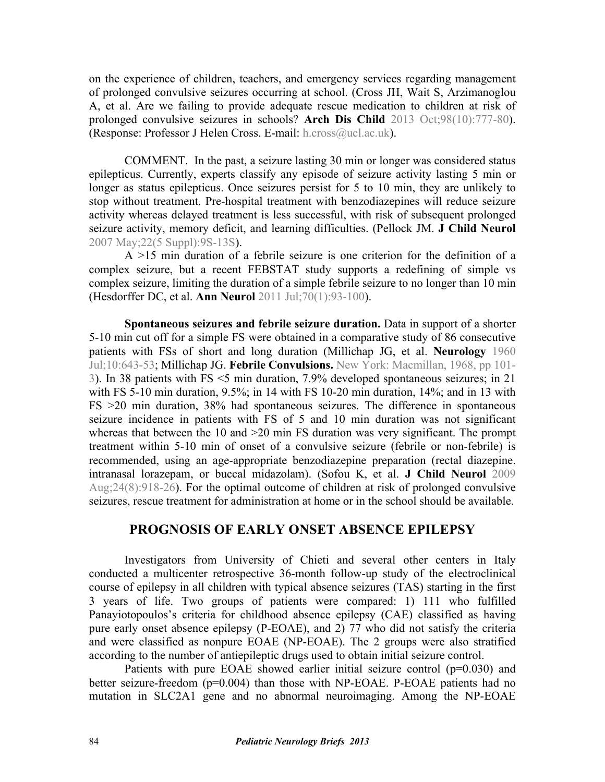on the experience of children, teachers, and emergency services regarding management of prolonged convulsive seizures occurring at school. (Cross JH, Wait S, Arzimanoglou [A, et al. Are we failing to provide adequate rescue medication to children at risk of](http://dx.doi.org/10.1136/archdischild-2013-304089) prolonged convulsive seizures in schools? **Arch Dis Child** 2013 Oct;98(10):777-80). (Response: Professor J Helen Cross. E-mail: h.cross@ucl.ac.uk).

COMMENT. In the past, a seizure lasting 30 min or longer was considered status epilepticus. Currently, experts classify any episode of seizure activity lasting 5 min or longer as status epilepticus. Once seizures persist for 5 to 10 min, they are unlikely to stop without treatment. Pre-hospital treatment with benzodiazepines will reduce seizure activity whereas delayed treatment is less successful, with risk of subsequent prolonged [seizure activity, memory deficit, and learning difficulties. \(Pellock JM.](http://dx.doi.org/10.1177/0883073807303064) **J Child Neurol**  2007 May;22(5 Suppl):9S-13S).

 A >15 min duration of a febrile seizure is one criterion for the definition of a complex seizure, but a recent FEBSTAT study supports a redefining of simple vs complex seizure, limiting the duration of a simple febrile seizure to no longer than 10 min (Hesdorffer DC, et al. **Ann Neurol** [2011 Jul;70\(1\):93-100](http://dx.doi.org/10.1002/ana.22368)).

**Spontaneous seizures and febrile seizure duration.** Data in support of a shorter 5-10 min cut off for a simple FS were obtained in a comparative study of 86 consecutive patients with FSs of short and long duration [\(Millichap JG, et al.](http://dx.doi.org/10.1212/WNL.10.7.643) **Neurology** 1960 [Jul;10:643-53](http://dx.doi.org/10.1212/WNL.10.7.643); Millichap JG. **Febrile Convulsions.** [New York: Macmillan, 1968, pp 101-](http://www.worldcat.org/oclc/7550584) [3](http://www.worldcat.org/oclc/7550584)). In 38 patients with FS <5 min duration, 7.9% developed spontaneous seizures; in 21 with FS 5-10 min duration, 9.5%; in 14 with FS 10-20 min duration, 14%; and in 13 with FS >20 min duration, 38% had spontaneous seizures. The difference in spontaneous seizure incidence in patients with FS of 5 and 10 min duration was not significant whereas that between the 10 and >20 min FS duration was very significant. The prompt treatment within 5-10 min of onset of a convulsive seizure (febrile or non-febrile) is recommended, using an age-appropriate benzodiazepine preparation (rectal diazepine. intranasal lorazepam, or buccal midazolam). (Sofou K, et al. **J Child Neurol** 2009 [Aug;24\(8\):918-26\). For the optimal outcome of children at risk of prolonged convulsive](http://dx.doi.org/10.1177/0883073809332768) seizures, rescue treatment for administration at home or in the school should be available.

## **PROGNOSIS OF EARLY ONSET ABSENCE EPILEPSY**

Investigators from University of Chieti and several other centers in Italy conducted a multicenter retrospective 36-month follow-up study of the electroclinical course of epilepsy in all children with typical absence seizures (TAS) starting in the first 3 years of life. Two groups of patients were compared: 1) 111 who fulfilled Panayiotopoulos's criteria for childhood absence epilepsy (CAE) classified as having pure early onset absence epilepsy (P-EOAE), and 2) 77 who did not satisfy the criteria and were classified as nonpure EOAE (NP-EOAE). The 2 groups were also stratified according to the number of antiepileptic drugs used to obtain initial seizure control.

Patients with pure EOAE showed earlier initial seizure control (p=0.030) and better seizure-freedom (p=0.004) than those with NP-EOAE. P-EOAE patients had no mutation in SLC2A1 gene and no abnormal neuroimaging. Among the NP-EOAE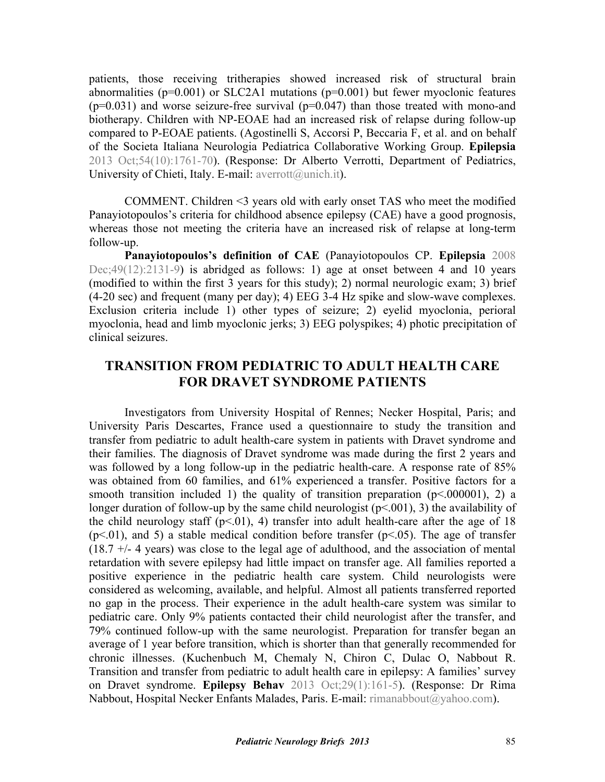patients, those receiving tritherapies showed increased risk of structural brain abnormalities ( $p=0.001$ ) or SLC2A1 mutations ( $p=0.001$ ) but fewer myoclonic features  $(p=0.031)$  and worse seizure-free survival  $(p=0.047)$  than those treated with mono-and biotherapy. Children with NP-EOAE had an increased risk of relapse during follow-up [compared to P-EOAE patients. \(Agostinelli S, Accorsi P, Beccaria F, et al. and on behalf](http://dx.doi.org/10.1111/epi.12341) of the Societa Italiana Neurologia Pediatrica Collaborative Working Group. **Epilepsia**  2013 Oct;54(10):1761-70). (Response: Dr Alberto Verrotti, Department of Pediatrics, University of Chieti, Italy. E-mail: averrott@unich.it).

COMMENT. Children <3 years old with early onset TAS who meet the modified Panayiotopoulos's criteria for childhood absence epilepsy (CAE) have a good prognosis, whereas those not meeting the criteria have an increased risk of relapse at long-term follow-up.

**Panayiotopoulos's definition of CAE** (Panayiotopoulos CP. **Epilepsia** 2008 [Dec;49\(12\):2131-9\) is abridged as follows:](http://dx.doi.org/10.1111/j.1528-1167.2008.01777.x) 1) age at onset between 4 and 10 years (modified to within the first 3 years for this study); 2) normal neurologic exam; 3) brief (4-20 sec) and frequent (many per day); 4) EEG 3-4 Hz spike and slow-wave complexes. Exclusion criteria include 1) other types of seizure; 2) eyelid myoclonia, perioral myoclonia, head and limb myoclonic jerks; 3) EEG polyspikes; 4) photic precipitation of clinical seizures.

# **TRANSITION FROM PEDIATRIC TO ADULT HEALTH CARE FOR DRAVET SYNDROME PATIENTS**

Investigators from University Hospital of Rennes; Necker Hospital, Paris; and University Paris Descartes, France used a questionnaire to study the transition and transfer from pediatric to adult health-care system in patients with Dravet syndrome and their families. The diagnosis of Dravet syndrome was made during the first 2 years and was followed by a long follow-up in the pediatric health-care. A response rate of 85% was obtained from 60 families, and 61% experienced a transfer. Positive factors for a smooth transition included 1) the quality of transition preparation  $(p< 000001)$ , 2) a longer duration of follow-up by the same child neurologist  $(p<.001)$ , 3) the availability of the child neurology staff  $(p<0.01)$ , 4) transfer into adult health-care after the age of 18  $(p<.01)$ , and 5) a stable medical condition before transfer  $(p<.05)$ . The age of transfer (18.7 +/- 4 years) was close to the legal age of adulthood, and the association of mental retardation with severe epilepsy had little impact on transfer age. All families reported a positive experience in the pediatric health care system. Child neurologists were considered as welcoming, available, and helpful. Almost all patients transferred reported no gap in the process. Their experience in the adult health-care system was similar to pediatric care. Only 9% patients contacted their child neurologist after the transfer, and 79% continued follow-up with the same neurologist. Preparation for transfer began an average of 1 year before transition, which is shorter than that generally recommended for [chronic illnesses. \(Kuchenbuch M, Chemaly N, Chiron C, Dulac O, Nabbout R.](http://dx.doi.org/10.1016/j.yebeh.2013.07.015) Transition and transfer from pediatric to adult health care in epilepsy: A families' survey on Dravet syndrome. **Epilepsy Behav** 2013 Oct;29(1):161-5). (Response: Dr Rima Nabbout, Hospital Necker Enfants Malades, Paris. E-mail: rimanabbout@yahoo.com).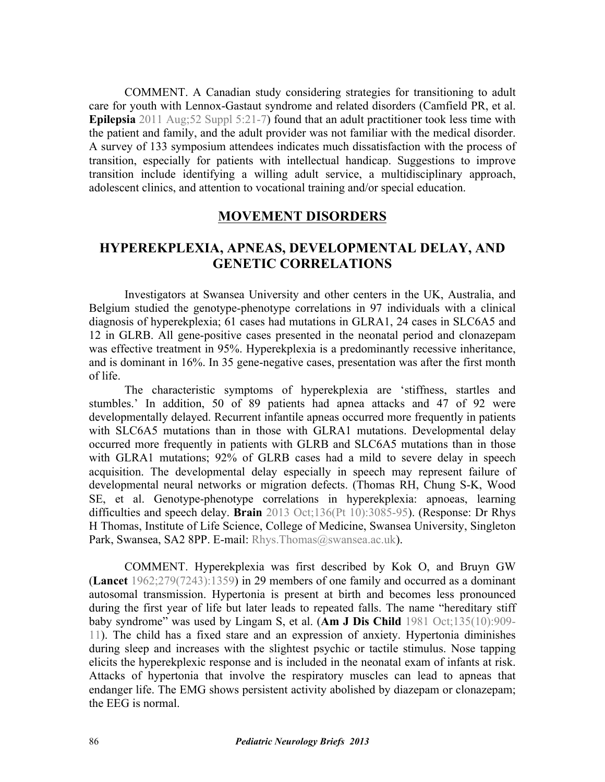COMMENT. A Canadian study considering strategies for transitioning to adult [care for youth with Lennox-Gastaut syndrome and related disorders \(Camfield PR, et al.](http://dx.doi.org/10.1111/j.1528-1167.2011.03179.x) **Epilepsia** 2011 Aug;52 Suppl 5:21-7) found that an adult practitioner took less time with the patient and family, and the adult provider was not familiar with the medical disorder. A survey of 133 symposium attendees indicates much dissatisfaction with the process of transition, especially for patients with intellectual handicap. Suggestions to improve transition include identifying a willing adult service, a multidisciplinary approach, adolescent clinics, and attention to vocational training and/or special education.

#### **MOVEMENT DISORDERS**

## **HYPEREKPLEXIA, APNEAS, DEVELOPMENTAL DELAY, AND GENETIC CORRELATIONS**

Investigators at Swansea University and other centers in the UK, Australia, and Belgium studied the genotype-phenotype correlations in 97 individuals with a clinical diagnosis of hyperekplexia; 61 cases had mutations in GLRA1, 24 cases in SLC6A5 and 12 in GLRB. All gene-positive cases presented in the neonatal period and clonazepam was effective treatment in 95%. Hyperekplexia is a predominantly recessive inheritance, and is dominant in 16%. In 35 gene-negative cases, presentation was after the first month of life.

The characteristic symptoms of hyperekplexia are 'stiffness, startles and stumbles.' In addition, 50 of 89 patients had apnea attacks and 47 of 92 were developmentally delayed. Recurrent infantile apneas occurred more frequently in patients with SLC6A5 mutations than in those with GLRA1 mutations. Developmental delay occurred more frequently in patients with GLRB and SLC6A5 mutations than in those with GLRA1 mutations; 92% of GLRB cases had a mild to severe delay in speech acquisition. The developmental delay especially in speech may represent failure of [developmental neural networks or migration defects. \(Thomas RH, Chung S-K, Wood](http://dx.doi.org/10.1093/brain/awt207) SE, et al. Genotype-phenotype correlations in hyperekplexia: apnoeas, learning difficulties and speech delay. **Brain** 2013 Oct;136(Pt 10):3085-95). (Response: Dr Rhys H Thomas, Institute of Life Science, College of Medicine, Swansea University, Singleton Park, Swansea, SA2 8PP. E-mail: Rhys. Thomas@swansea.ac.uk).

COMMENT. Hyperekplexia was first described by Kok O, and Bruyn GW (**Lancet** [1962;279\(7243\):1359](http://dx.doi.org/10.1016/S0140-6736(62)92475-3)) in 29 members of one family and occurred as a dominant autosomal transmission. Hypertonia is present at birth and becomes less pronounced during the first year of life but later leads to repeated falls. The name "hereditary stiff baby syndrome" was used by Lingam S, et al. (**Am J Dis Child** 1981 Oct;135(10):909- [11\). The child has a fixed stare and an expression of anxiety. Hypertonia diminishes](http://dx.doi.org/10.1001/archpedi.1981.02130340021008) during sleep and increases with the slightest psychic or tactile stimulus. Nose tapping elicits the hyperekplexic response and is included in the neonatal exam of infants at risk. Attacks of hypertonia that involve the respiratory muscles can lead to apneas that endanger life. The EMG shows persistent activity abolished by diazepam or clonazepam; the EEG is normal.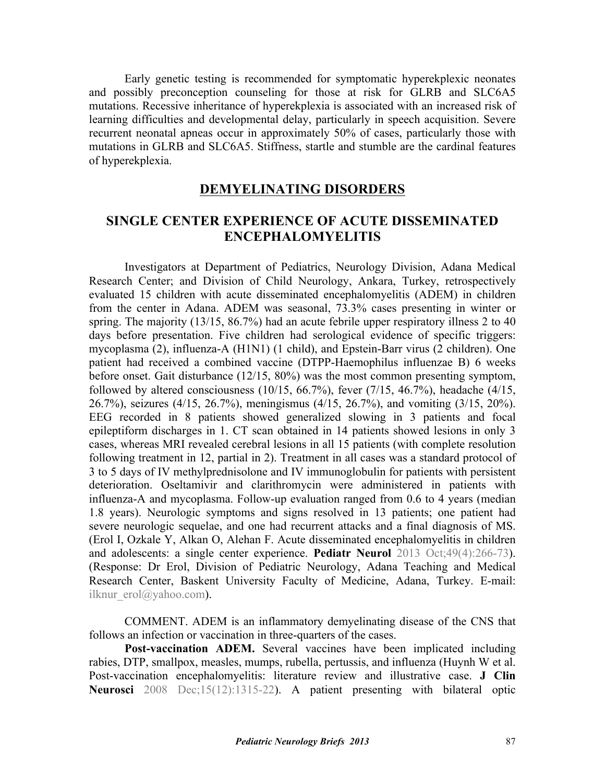Early genetic testing is recommended for symptomatic hyperekplexic neonates and possibly preconception counseling for those at risk for GLRB and SLC6A5 mutations. Recessive inheritance of hyperekplexia is associated with an increased risk of learning difficulties and developmental delay, particularly in speech acquisition. Severe recurrent neonatal apneas occur in approximately 50% of cases, particularly those with mutations in GLRB and SLC6A5. Stiffness, startle and stumble are the cardinal features of hyperekplexia.

### **DEMYELINATING DISORDERS**

## **SINGLE CENTER EXPERIENCE OF ACUTE DISSEMINATED ENCEPHALOMYELITIS**

Investigators at Department of Pediatrics, Neurology Division, Adana Medical Research Center; and Division of Child Neurology, Ankara, Turkey, retrospectively evaluated 15 children with acute disseminated encephalomyelitis (ADEM) in children from the center in Adana. ADEM was seasonal, 73.3% cases presenting in winter or spring. The majority (13/15, 86.7%) had an acute febrile upper respiratory illness 2 to 40 days before presentation. Five children had serological evidence of specific triggers: mycoplasma (2), influenza-A (H1N1) (1 child), and Epstein-Barr virus (2 children). One patient had received a combined vaccine (DTPP-Haemophilus influenzae B) 6 weeks before onset. Gait disturbance (12/15, 80%) was the most common presenting symptom, followed by altered consciousness  $(10/15, 66.7%)$ , fever  $(7/15, 46.7%)$ , headache  $(4/15, 46.7%)$ 26.7%), seizures (4/15, 26.7%), meningismus (4/15, 26.7%), and vomiting (3/15, 20%). EEG recorded in 8 patients showed generalized slowing in 3 patients and focal epileptiform discharges in 1. CT scan obtained in 14 patients showed lesions in only 3 cases, whereas MRI revealed cerebral lesions in all 15 patients (with complete resolution following treatment in 12, partial in 2). Treatment in all cases was a standard protocol of 3 to 5 days of IV methylprednisolone and IV immunoglobulin for patients with persistent deterioration. Oseltamivir and clarithromycin were administered in patients with influenza-A and mycoplasma. Follow-up evaluation ranged from 0.6 to 4 years (median 1.8 years). Neurologic symptoms and signs resolved in 13 patients; one patient had severe neurologic sequelae, and one had recurrent attacks and a final diagnosis of MS. [\(Erol I, Ozkale Y, Alkan O, Alehan F. Acute disseminated encephalomyelitis in children](http://dx.doi.org/10.1016/j.pediatrneurol.2013.03.021) and adolescents: a single center experience. **Pediatr Neurol** 2013 Oct;49(4):266-73). (Response: Dr Erol, Division of Pediatric Neurology, Adana Teaching and Medical Research Center, Baskent University Faculty of Medicine, Adana, Turkey. E-mail: ilknur erol@yahoo.com).

 COMMENT. ADEM is an inflammatory demyelinating disease of the CNS that follows an infection or vaccination in three-quarters of the cases.

**Post-vaccination ADEM.** Several vaccines have been implicated including rabies, DTP, smallpox, measles, mumps, rubella, pertussis, and influenza (Huynh W et al. [Post-vaccination encephalomyelitis: literature review and illustrative case.](http://dx.doi.org/10.1016/j.jocn.2008.05.002) **J Clin Neurosci** 2008 Dec;15(12):1315-22). A patient presenting with bilateral optic